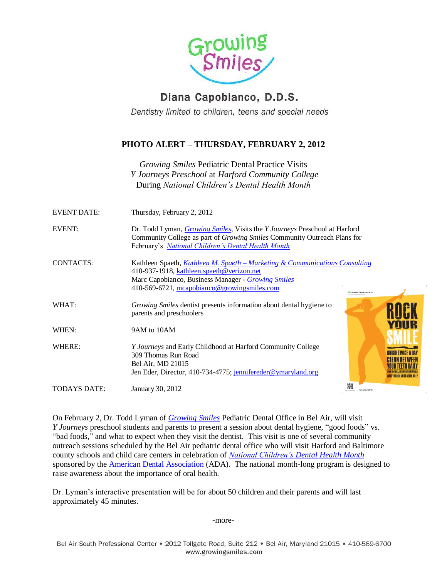

## Diana Capobianco, D.D.S.

Dentistry limited to children, teens and special needs

## **PHOTO ALERT – THURSDAY, FEBRUARY 2, 2012**

*Growing Smiles* Pediatric Dental Practice Visits *Y Journeys Preschool* at *Harford Community College* During *National Children's Dental Health Month* 

| <b>EVENT DATE:</b>  | Thursday, February 2, 2012                                                                                                                                                                                                         |                            |
|---------------------|------------------------------------------------------------------------------------------------------------------------------------------------------------------------------------------------------------------------------------|----------------------------|
| <b>EVENT:</b>       | Dr. Todd Lyman, <i>Growing Smiles</i> , Visits the <i>Y Journeys</i> Preschool at Harford<br>Community College as part of <i>Growing Smiles</i> Community Outreach Plans for<br>February's National Children's Dental Health Month |                            |
| <b>CONTACTS:</b>    | Kathleen Spaeth, Kathleen M. Spaeth – Marketing & Communications Consulting<br>410-937-1918, kathleen.spaeth@verizon.net<br>Marc Capobianco, Business Manager - Growing Smiles<br>410-569-6721, mcapobianco@growingsmiles.com      | M. American Dental Associa |
| WHAT:               | Growing Smiles dentist presents information about dental hygiene to<br>parents and preschoolers                                                                                                                                    |                            |
| WHEN:               | 9AM to 10AM                                                                                                                                                                                                                        | YOUR                       |
| WHERE:              | <i>Y Journeys</i> and Early Childhood at Harford Community College<br>309 Thomas Run Road<br>Bel Air, MD 21015<br>Jen Eder, Director, 410-734-4775; jennifereder@ymaryland.org                                                     | <b>RRUSH TWICF A D</b>     |
| <b>TODAYS DATE:</b> | January 30, 2012                                                                                                                                                                                                                   | 器<br>ADA.org/ncdhm         |

On February 2, Dr. Todd Lyman of *[Growing Smiles](http://www.growingsmiles.com/)* Pediatric Dental Office in Bel Air, will visit *Y Journeys* preschool students and parents to present a session about dental hygiene, "good foods" vs. "bad foods," and what to expect when they visit the dentist. This visit is one of several community outreach sessions scheduled by the Bel Air pediatric dental office who will visit Harford and Baltimore county schools and child care centers in celebration of *[National Children's Dental Health Month](http://www.ada.org/index.aspx)* sponsored by the [American Dental Association](http://www.ada.org/) (ADA). The national month-long program is designed to raise awareness about the importance of oral health.

Dr. Lyman's interactive presentation will be for about 50 children and their parents and will last approximately 45 minutes.

-more-